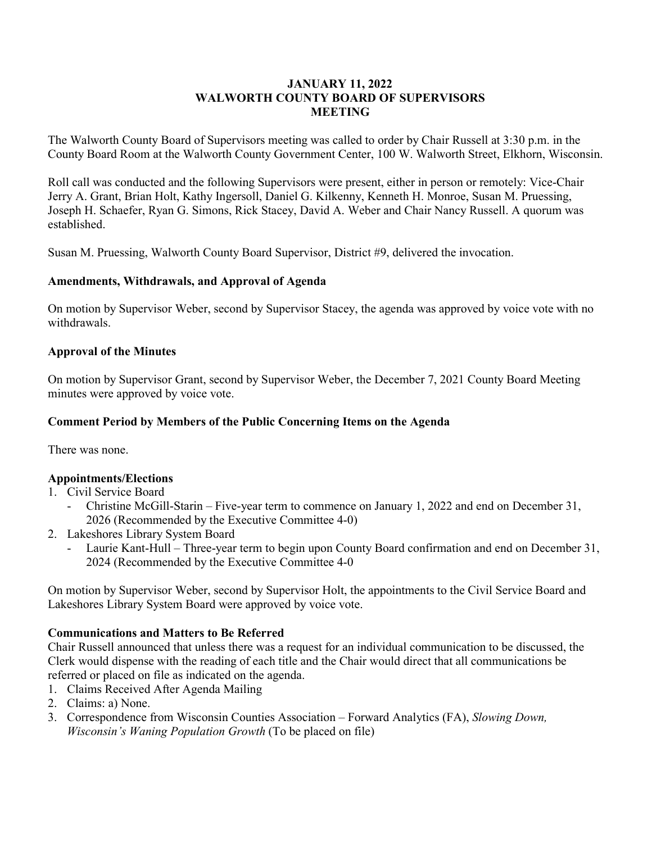## **JANUARY 11, 2022 WALWORTH COUNTY BOARD OF SUPERVISORS MEETING**

The Walworth County Board of Supervisors meeting was called to order by Chair Russell at 3:30 p.m. in the County Board Room at the Walworth County Government Center, 100 W. Walworth Street, Elkhorn, Wisconsin.

Roll call was conducted and the following Supervisors were present, either in person or remotely: Vice-Chair Jerry A. Grant, Brian Holt, Kathy Ingersoll, Daniel G. Kilkenny, Kenneth H. Monroe, Susan M. Pruessing, Joseph H. Schaefer, Ryan G. Simons, Rick Stacey, David A. Weber and Chair Nancy Russell. A quorum was established.

Susan M. Pruessing, Walworth County Board Supervisor, District #9, delivered the invocation.

## **Amendments, Withdrawals, and Approval of Agenda**

On motion by Supervisor Weber, second by Supervisor Stacey, the agenda was approved by voice vote with no withdrawals.

### **Approval of the Minutes**

On motion by Supervisor Grant, second by Supervisor Weber, the December 7, 2021 County Board Meeting minutes were approved by voice vote.

### **Comment Period by Members of the Public Concerning Items on the Agenda**

There was none.

## **Appointments/Elections**

### 1. Civil Service Board

- Christine McGill-Starin Five-year term to commence on January 1, 2022 and end on December 31, 2026 (Recommended by the Executive Committee 4-0)
- 2. Lakeshores Library System Board
	- Laurie Kant-Hull Three-year term to begin upon County Board confirmation and end on December 31, 2024 (Recommended by the Executive Committee 4-0

On motion by Supervisor Weber, second by Supervisor Holt, the appointments to the Civil Service Board and Lakeshores Library System Board were approved by voice vote.

## **Communications and Matters to Be Referred**

Chair Russell announced that unless there was a request for an individual communication to be discussed, the Clerk would dispense with the reading of each title and the Chair would direct that all communications be referred or placed on file as indicated on the agenda.

- 1. Claims Received After Agenda Mailing
- 2. Claims: a) None.
- 3. Correspondence from Wisconsin Counties Association Forward Analytics (FA), *Slowing Down, Wisconsin's Waning Population Growth* (To be placed on file)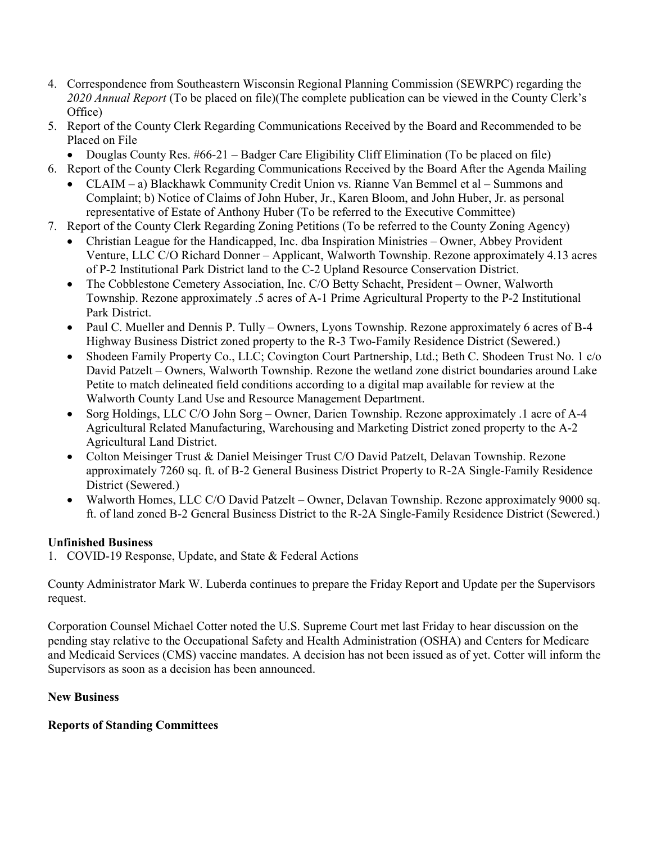- 4. Correspondence from Southeastern Wisconsin Regional Planning Commission (SEWRPC) regarding the *2020 Annual Report* (To be placed on file)(The complete publication can be viewed in the County Clerk's Office)
- 5. Report of the County Clerk Regarding Communications Received by the Board and Recommended to be Placed on File
- Douglas County Res. #66-21 Badger Care Eligibility Cliff Elimination (To be placed on file)
- 6. Report of the County Clerk Regarding Communications Received by the Board After the Agenda Mailing
	- CLAIM a) Blackhawk Community Credit Union vs. Rianne Van Bemmel et al Summons and Complaint; b) Notice of Claims of John Huber, Jr., Karen Bloom, and John Huber, Jr. as personal representative of Estate of Anthony Huber (To be referred to the Executive Committee)
- 7. Report of the County Clerk Regarding Zoning Petitions (To be referred to the County Zoning Agency)
	- Christian League for the Handicapped, Inc. dba Inspiration Ministries Owner, Abbey Provident Venture, LLC C/O Richard Donner – Applicant, Walworth Township. Rezone approximately 4.13 acres of P-2 Institutional Park District land to the C-2 Upland Resource Conservation District.
	- The Cobblestone Cemetery Association, Inc. C/O Betty Schacht, President Owner, Walworth Township. Rezone approximately .5 acres of A-1 Prime Agricultural Property to the P-2 Institutional Park District.
	- Paul C. Mueller and Dennis P. Tully Owners, Lyons Township. Rezone approximately 6 acres of B-4 Highway Business District zoned property to the R-3 Two-Family Residence District (Sewered.)
	- Shodeen Family Property Co., LLC; Covington Court Partnership, Ltd.; Beth C. Shodeen Trust No. 1 c/o David Patzelt – Owners, Walworth Township. Rezone the wetland zone district boundaries around Lake Petite to match delineated field conditions according to a digital map available for review at the Walworth County Land Use and Resource Management Department.
	- Sorg Holdings, LLC C/O John Sorg Owner, Darien Township. Rezone approximately .1 acre of A-4 Agricultural Related Manufacturing, Warehousing and Marketing District zoned property to the A-2 Agricultural Land District.
	- Colton Meisinger Trust & Daniel Meisinger Trust C/O David Patzelt, Delavan Township. Rezone approximately 7260 sq. ft. of B-2 General Business District Property to R-2A Single-Family Residence District (Sewered.)
	- Walworth Homes, LLC C/O David Patzelt Owner, Delavan Township. Rezone approximately 9000 sq. ft. of land zoned B-2 General Business District to the R-2A Single-Family Residence District (Sewered.)

# **Unfinished Business**

1. COVID-19 Response, Update, and State & Federal Actions

County Administrator Mark W. Luberda continues to prepare the Friday Report and Update per the Supervisors request.

Corporation Counsel Michael Cotter noted the U.S. Supreme Court met last Friday to hear discussion on the pending stay relative to the Occupational Safety and Health Administration (OSHA) and Centers for Medicare and Medicaid Services (CMS) vaccine mandates. A decision has not been issued as of yet. Cotter will inform the Supervisors as soon as a decision has been announced.

# **New Business**

# **Reports of Standing Committees**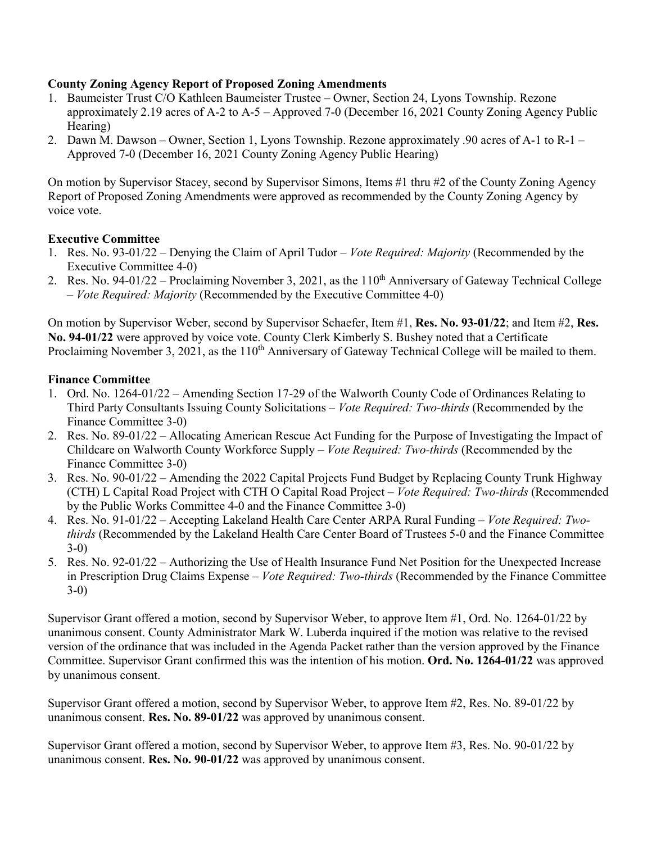### **County Zoning Agency Report of Proposed Zoning Amendments**

- 1. Baumeister Trust C/O Kathleen Baumeister Trustee Owner, Section 24, Lyons Township. Rezone approximately 2.19 acres of A-2 to A-5 – Approved 7-0 (December 16, 2021 County Zoning Agency Public Hearing)
- 2. Dawn M. Dawson Owner, Section 1, Lyons Township. Rezone approximately .90 acres of A-1 to R-1 Approved 7-0 (December 16, 2021 County Zoning Agency Public Hearing)

On motion by Supervisor Stacey, second by Supervisor Simons, Items #1 thru #2 of the County Zoning Agency Report of Proposed Zoning Amendments were approved as recommended by the County Zoning Agency by voice vote.

## **Executive Committee**

- 1. Res. No. 93-01/22 Denying the Claim of April Tudor *Vote Required: Majority* (Recommended by the Executive Committee 4-0)
- 2. Res. No. 94-01/22 Proclaiming November 3, 2021, as the  $110<sup>th</sup>$  Anniversary of Gateway Technical College – *Vote Required: Majority* (Recommended by the Executive Committee 4-0)

On motion by Supervisor Weber, second by Supervisor Schaefer, Item #1, **Res. No. 93-01/22**; and Item #2, **Res. No. 94-01/22** were approved by voice vote. County Clerk Kimberly S. Bushey noted that a Certificate Proclaiming November 3, 2021, as the 110<sup>th</sup> Anniversary of Gateway Technical College will be mailed to them.

### **Finance Committee**

- 1. Ord. No. 1264-01/22 Amending Section 17-29 of the Walworth County Code of Ordinances Relating to Third Party Consultants Issuing County Solicitations – *Vote Required: Two-thirds* (Recommended by the Finance Committee 3-0)
- 2. Res. No. 89-01/22 Allocating American Rescue Act Funding for the Purpose of Investigating the Impact of Childcare on Walworth County Workforce Supply – *Vote Required: Two-thirds* (Recommended by the Finance Committee 3-0)
- 3. Res. No. 90-01/22 Amending the 2022 Capital Projects Fund Budget by Replacing County Trunk Highway (CTH) L Capital Road Project with CTH O Capital Road Project – *Vote Required: Two-thirds* (Recommended by the Public Works Committee 4-0 and the Finance Committee 3-0)
- 4. Res. No. 91-01/22 Accepting Lakeland Health Care Center ARPA Rural Funding *Vote Required: Twothirds* (Recommended by the Lakeland Health Care Center Board of Trustees 5-0 and the Finance Committee 3-0)
- 5. Res. No. 92-01/22 Authorizing the Use of Health Insurance Fund Net Position for the Unexpected Increase in Prescription Drug Claims Expense – *Vote Required: Two-thirds* (Recommended by the Finance Committee 3-0)

Supervisor Grant offered a motion, second by Supervisor Weber, to approve Item #1, Ord. No. 1264-01/22 by unanimous consent. County Administrator Mark W. Luberda inquired if the motion was relative to the revised version of the ordinance that was included in the Agenda Packet rather than the version approved by the Finance Committee. Supervisor Grant confirmed this was the intention of his motion. **Ord. No. 1264-01/22** was approved by unanimous consent.

Supervisor Grant offered a motion, second by Supervisor Weber, to approve Item #2, Res. No. 89-01/22 by unanimous consent. **Res. No. 89-01/22** was approved by unanimous consent.

Supervisor Grant offered a motion, second by Supervisor Weber, to approve Item #3, Res. No. 90-01/22 by unanimous consent. **Res. No. 90-01/22** was approved by unanimous consent.